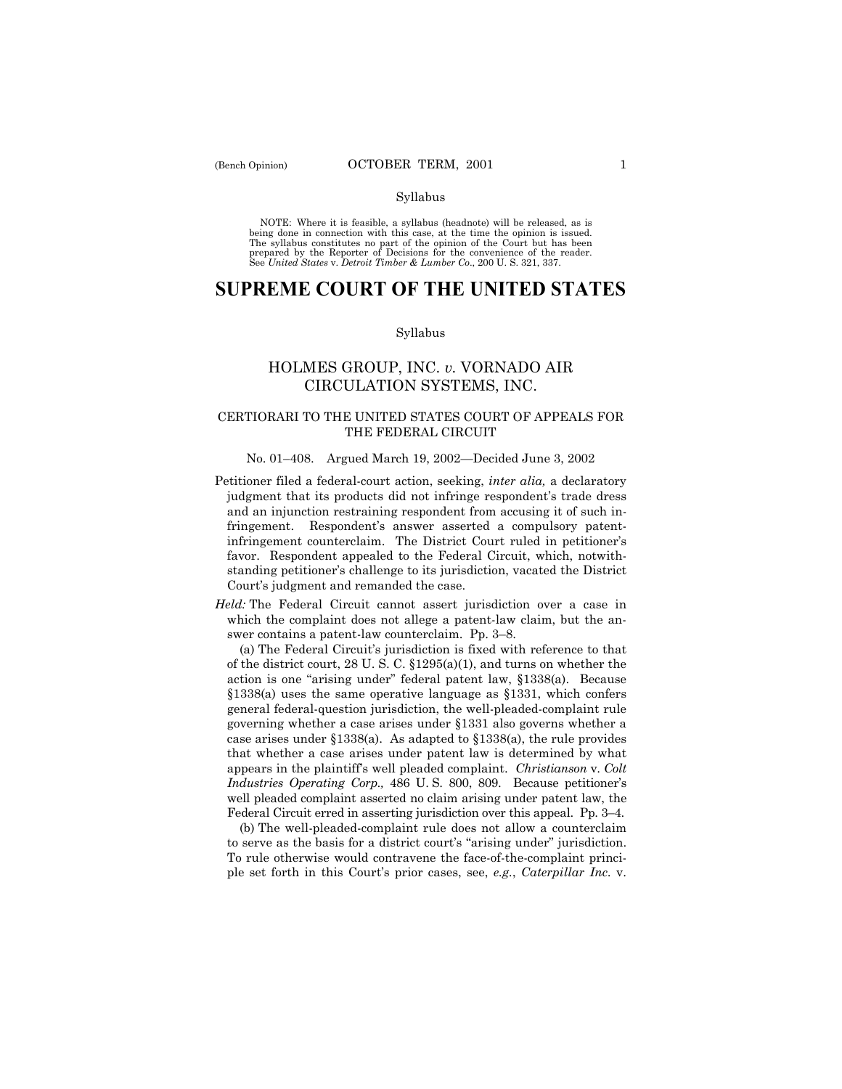### Syllabus

NOTE: Where it is feasible, a syllabus (headnote) will be released, as is being done in connection with this case, at the time the opinion is issued. The syllabus constitutes no part of the opinion of the Court but has been<br>prepared by the Reporter of Decisions for the convenience of the reader.<br>See United States v. Detroit Timber & Lumber Co., 200 U. S. 321, 337.

# **SUPREME COURT OF THE UNITED STATES**

### Syllabus

# HOLMES GROUP, INC. *v.* VORNADO AIR CIRCULATION SYSTEMS, INC.

# CERTIORARI TO THE UNITED STATES COURT OF APPEALS FOR THE FEDERAL CIRCUIT

### No. 01-408. Argued March 19, 2002—Decided June 3, 2002

Petitioner filed a federal-court action, seeking, *inter alia,* a declaratory judgment that its products did not infringe respondent's trade dress and an injunction restraining respondent from accusing it of such infringement. Respondent's answer asserted a compulsory patentinfringement counterclaim. The District Court ruled in petitioner's favor. Respondent appealed to the Federal Circuit, which, notwithstanding petitioner's challenge to its jurisdiction, vacated the District Court's judgment and remanded the case.

*Held:* The Federal Circuit cannot assert jurisdiction over a case in which the complaint does not allege a patent-law claim, but the answer contains a patent-law counterclaim. Pp. 3-8.

(a) The Federal Circuitís jurisdiction is fixed with reference to that of the district court, 28 U. S. C. ß1295(a)(1), and turns on whether the action is one "arising under" federal patent law, §1338(a). Because  $§1338(a)$  uses the same operative language as §1331, which confers general federal-question jurisdiction, the well-pleaded-complaint rule governing whether a case arises under ß1331 also governs whether a case arises under  $$1338(a)$ . As adapted to  $$1338(a)$ , the rule provides that whether a case arises under patent law is determined by what appears in the plaintiffís well pleaded complaint. *Christianson* v. *Colt Industries Operating Corp.,* 486 U.S. 800, 809. Because petitioner's well pleaded complaint asserted no claim arising under patent law, the Federal Circuit erred in asserting jurisdiction over this appeal. Pp. 3–4.

(b) The well-pleaded-complaint rule does not allow a counterclaim to serve as the basis for a district court's "arising under" jurisdiction. To rule otherwise would contravene the face-of-the-complaint principle set forth in this Courtís prior cases, see, *e.g.*, *Caterpillar Inc.* v.